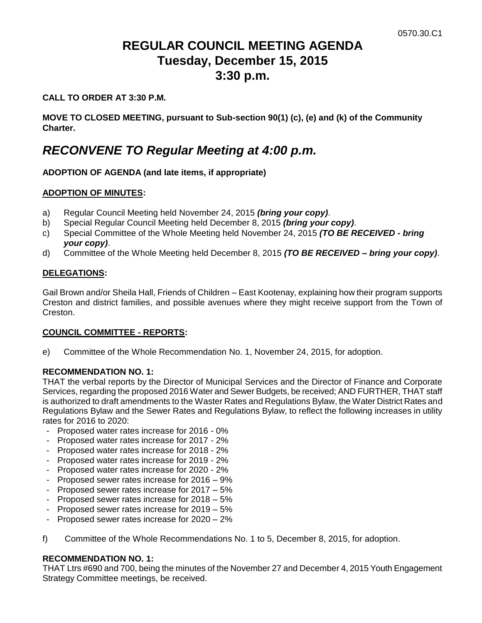# **REGULAR COUNCIL MEETING AGENDA Tuesday, December 15, 2015 3:30 p.m.**

#### **CALL TO ORDER AT 3:30 P.M.**

**MOVE TO CLOSED MEETING, pursuant to Sub-section 90(1) (c), (e) and (k) of the Community Charter.**

## *RECONVENE TO Regular Meeting at 4:00 p.m.*

### **ADOPTION OF AGENDA (and late items, if appropriate)**

#### **ADOPTION OF MINUTES:**

- a) Regular Council Meeting held November 24, 2015 *(bring your copy)*.
- b) Special Regular Council Meeting held December 8, 2015 *(bring your copy)*.
- c) Special Committee of the Whole Meeting held November 24, 2015 *(TO BE RECEIVED - bring your copy)*.
- d) Committee of the Whole Meeting held December 8, 2015 *(TO BE RECEIVED – bring your copy)*.

#### **DELEGATIONS:**

Gail Brown and/or Sheila Hall, Friends of Children – East Kootenay, explaining how their program supports Creston and district families, and possible avenues where they might receive support from the Town of Creston.

#### **COUNCIL COMMITTEE - REPORTS:**

e) Committee of the Whole Recommendation No. 1, November 24, 2015, for adoption.

#### **RECOMMENDATION NO. 1:**

THAT the verbal reports by the Director of Municipal Services and the Director of Finance and Corporate Services, regarding the proposed 2016 Water and Sewer Budgets, be received; AND FURTHER, THAT staff is authorized to draft amendments to the Waster Rates and Regulations Bylaw, the Water District Rates and Regulations Bylaw and the Sewer Rates and Regulations Bylaw, to reflect the following increases in utility rates for 2016 to 2020:

- Proposed water rates increase for 2016 0%
- Proposed water rates increase for 2017 2%
- Proposed water rates increase for 2018 2%
- Proposed water rates increase for 2019 2%
- Proposed water rates increase for 2020 2%
- Proposed sewer rates increase for 2016 9%
- Proposed sewer rates increase for 2017 5%
- Proposed sewer rates increase for 2018 5%
- Proposed sewer rates increase for 2019 5%
- Proposed sewer rates increase for 2020 2%
- f) Committee of the Whole Recommendations No. 1 to 5, December 8, 2015, for adoption.

#### **RECOMMENDATION NO. 1:**

THAT Ltrs #690 and 700, being the minutes of the November 27 and December 4, 2015 Youth Engagement Strategy Committee meetings, be received.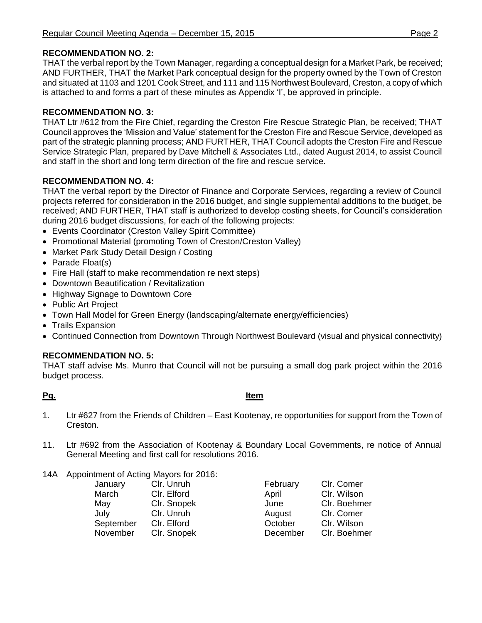#### **RECOMMENDATION NO. 2:**

THAT the verbal report by the Town Manager, regarding a conceptual design for a Market Park, be received; AND FURTHER, THAT the Market Park conceptual design for the property owned by the Town of Creston and situated at 1103 and 1201 Cook Street, and 111 and 115 Northwest Boulevard, Creston, a copy of which is attached to and forms a part of these minutes as Appendix 'I', be approved in principle.

#### **RECOMMENDATION NO. 3:**

THAT Ltr #612 from the Fire Chief, regarding the Creston Fire Rescue Strategic Plan, be received; THAT Council approves the 'Mission and Value' statement for the Creston Fire and Rescue Service, developed as part of the strategic planning process; AND FURTHER, THAT Council adopts the Creston Fire and Rescue Service Strategic Plan, prepared by Dave Mitchell & Associates Ltd., dated August 2014, to assist Council and staff in the short and long term direction of the fire and rescue service.

### **RECOMMENDATION NO. 4:**

THAT the verbal report by the Director of Finance and Corporate Services, regarding a review of Council projects referred for consideration in the 2016 budget, and single supplemental additions to the budget, be received; AND FURTHER, THAT staff is authorized to develop costing sheets, for Council's consideration during 2016 budget discussions, for each of the following projects:

- Events Coordinator (Creston Valley Spirit Committee)
- Promotional Material (promoting Town of Creston/Creston Valley)
- Market Park Study Detail Design / Costing
- Parade Float(s)
- Fire Hall (staff to make recommendation re next steps)
- Downtown Beautification / Revitalization
- Highway Signage to Downtown Core
- Public Art Project
- Town Hall Model for Green Energy (landscaping/alternate energy/efficiencies)
- Trails Expansion
- Continued Connection from Downtown Through Northwest Boulevard (visual and physical connectivity)

#### **RECOMMENDATION NO. 5:**

THAT staff advise Ms. Munro that Council will not be pursuing a small dog park project within the 2016 budget process.

#### **Pg. Item**

- 1. Ltr #627 from the Friends of Children East Kootenay, re opportunities for support from the Town of Creston.
- 11. Ltr #692 from the Association of Kootenay & Boundary Local Governments, re notice of Annual General Meeting and first call for resolutions 2016.
- 14A Appointment of Acting Mayors for 2016:

| January   | Clr. Unruh  |
|-----------|-------------|
| March     | Clr. Elford |
| May       | Clr. Snopek |
| July      | Clr. Unruh  |
| September | Clr. Elford |
| November  | Clr. Snopek |

February Clr. Comer April Clr. Wilson June Clr. Boehmer August Clr. Comer October Clr. Wilson December Clr. Boehmer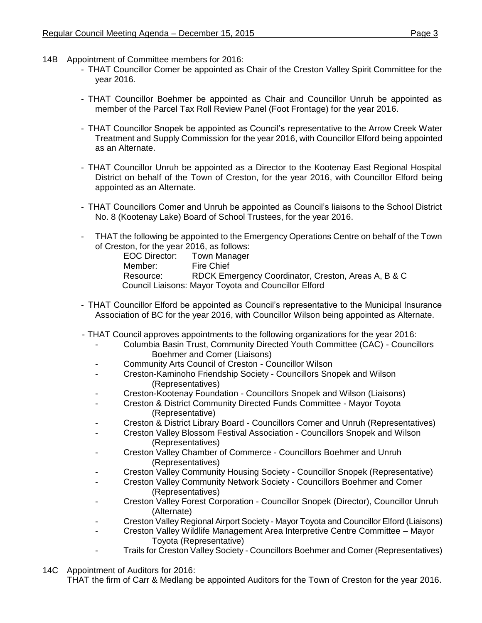- 14B Appointment of Committee members for 2016:
	- THAT Councillor Comer be appointed as Chair of the Creston Valley Spirit Committee for the year 2016.
	- THAT Councillor Boehmer be appointed as Chair and Councillor Unruh be appointed as member of the Parcel Tax Roll Review Panel (Foot Frontage) for the year 2016.
	- THAT Councillor Snopek be appointed as Council's representative to the Arrow Creek Water Treatment and Supply Commission for the year 2016, with Councillor Elford being appointed as an Alternate.
	- THAT Councillor Unruh be appointed as a Director to the Kootenay East Regional Hospital District on behalf of the Town of Creston, for the year 2016, with Councillor Elford being appointed as an Alternate.
	- THAT Councillors Comer and Unruh be appointed as Council's liaisons to the School District No. 8 (Kootenay Lake) Board of School Trustees, for the year 2016.
	- THAT the following be appointed to the Emergency Operations Centre on behalf of the Town of Creston, for the year 2016, as follows:

| <b>EOC Director:</b> | Town Manager                                         |
|----------------------|------------------------------------------------------|
| Member:              | <b>Fire Chief</b>                                    |
| Resource:            | RDCK Emergency Coordinator, Creston, Areas A, B & C  |
|                      | Council Liaisons: Mayor Toyota and Councillor Elford |

- THAT Councillor Elford be appointed as Council's representative to the Municipal Insurance Association of BC for the year 2016, with Councillor Wilson being appointed as Alternate.
- THAT Council approves appointments to the following organizations for the year 2016:
	- Columbia Basin Trust, Community Directed Youth Committee (CAC) Councillors Boehmer and Comer (Liaisons)
	- Community Arts Council of Creston Councillor Wilson
	- Creston-Kaminoho Friendship Society Councillors Snopek and Wilson (Representatives)
	- Creston-Kootenay Foundation Councillors Snopek and Wilson (Liaisons)
	- Creston & District Community Directed Funds Committee Mayor Toyota (Representative)
	- Creston & District Library Board Councillors Comer and Unruh (Representatives)
	- Creston Valley Blossom Festival Association Councillors Snopek and Wilson (Representatives)
	- Creston Valley Chamber of Commerce Councillors Boehmer and Unruh (Representatives)
	- Creston Valley Community Housing Society Councillor Snopek (Representative)
	- Creston Valley Community Network Society Councillors Boehmer and Comer (Representatives)
	- Creston Valley Forest Corporation Councillor Snopek (Director), Councillor Unruh (Alternate)
	- Creston Valley Regional Airport Society Mayor Toyota and Councillor Elford (Liaisons)
		- Creston Valley Wildlife Management Area Interpretive Centre Committee Mayor Toyota (Representative)
	- Trails for Creston Valley Society Councillors Boehmer and Comer (Representatives)
- 14C Appointment of Auditors for 2016:

THAT the firm of Carr & Medlang be appointed Auditors for the Town of Creston for the year 2016.